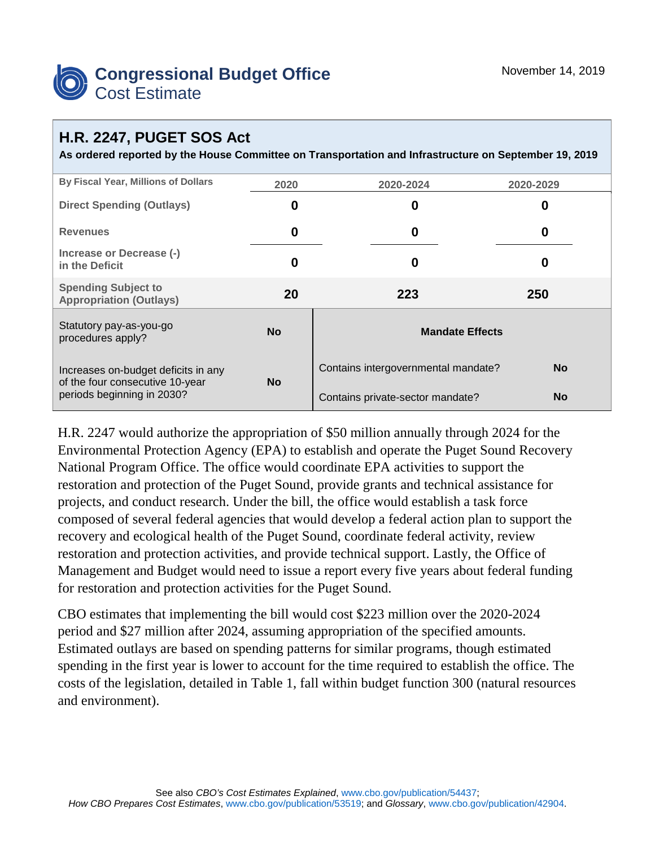

## **H.R. 2247, PUGET SOS Act**

**As ordered reported by the House Committee on Transportation and Infrastructure on September 19, 2019**

| By Fiscal Year, Millions of Dollars                                                                  | 2020      | 2020-2024                           | 2020-2029 |  |
|------------------------------------------------------------------------------------------------------|-----------|-------------------------------------|-----------|--|
| <b>Direct Spending (Outlays)</b>                                                                     | 0         | 0                                   | O         |  |
| <b>Revenues</b>                                                                                      | 0         | 0                                   | 0         |  |
| Increase or Decrease (-)<br>in the Deficit                                                           | 0         | 0                                   | O         |  |
| <b>Spending Subject to</b><br><b>Appropriation (Outlays)</b>                                         | 20        | 223                                 | 250       |  |
| Statutory pay-as-you-go<br>procedures apply?                                                         | <b>No</b> | <b>Mandate Effects</b>              |           |  |
| Increases on-budget deficits in any<br>of the four consecutive 10-year<br>periods beginning in 2030? | <b>No</b> | Contains intergovernmental mandate? | <b>No</b> |  |
|                                                                                                      |           | Contains private-sector mandate?    | <b>No</b> |  |

H.R. 2247 would authorize the appropriation of \$50 million annually through 2024 for the Environmental Protection Agency (EPA) to establish and operate the Puget Sound Recovery National Program Office. The office would coordinate EPA activities to support the restoration and protection of the Puget Sound, provide grants and technical assistance for projects, and conduct research. Under the bill, the office would establish a task force composed of several federal agencies that would develop a federal action plan to support the recovery and ecological health of the Puget Sound, coordinate federal activity, review restoration and protection activities, and provide technical support. Lastly, the Office of Management and Budget would need to issue a report every five years about federal funding for restoration and protection activities for the Puget Sound.

CBO estimates that implementing the bill would cost \$223 million over the 2020-2024 period and \$27 million after 2024, assuming appropriation of the specified amounts. Estimated outlays are based on spending patterns for similar programs, though estimated spending in the first year is lower to account for the time required to establish the office. The costs of the legislation, detailed in Table 1, fall within budget function 300 (natural resources and environment).